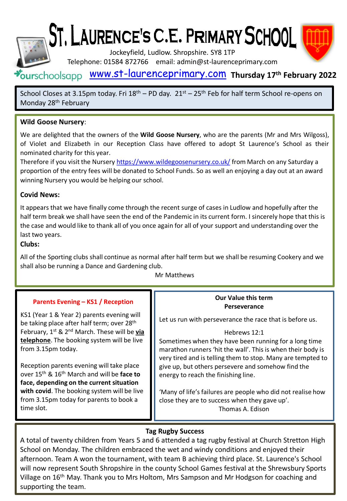

# ST. LAURENCE'S C.E. PRIMARY SCHOOL

Jockeyfield, Ludlow. Shropshire. SY8 1TP

Telephone: 01584 872766 email: admin@st-laurenceprimary.com

### [www.st-laurenceprimary.com](http://www.st-laurenceprimary.com/) **Thursday 17th February 2022**

School Closes at 3.15pm today. Fri  $18<sup>th</sup>$  – PD day.  $21<sup>st</sup>$  –  $25<sup>th</sup>$  Feb for half term School re-opens on Monday 28th February

#### **Wild Goose Nursery**:

We are delighted that the owners of the **Wild Goose Nursery**, who are the parents (Mr and Mrs Wilgoss), of Violet and Elizabeth in our Reception Class have offered to adopt St Laurence's School as their nominated charity for this year.

Therefore if you visit the Nursery <https://www.wildegoosenursery.co.uk/> from March on any Saturday a proportion of the entry fees will be donated to School Funds. So as well an enjoying a day out at an award winning Nursery you would be helping our school.

#### **Covid News:**

It appears that we have finally come through the recent surge of cases in Ludlow and hopefully after the half term break we shall have seen the end of the Pandemic in its current form. I sincerely hope that this is the case and would like to thank all of you once again for all of your support and understanding over the last two years.

#### **Clubs:**

All of the Sporting clubs shall continue as normal after half term but we shall be resuming Cookery and we shall also be running a Dance and Gardening club.

#### Mr Matthews

#### **Parents Evening – KS1 / Reception**

KS1 (Year 1 & Year 2) parents evening will be taking place after half term; over 28<sup>th</sup> February, 1st & 2nd March. These will be **via telephone**. The booking system will be live from 3.15pm today.

Reception parents evening will take place over 15th & 16th March and will be **face to face, depending on the current situation with covid**. The booking system will be live from 3.15pm today for parents to book a time slot.

#### **Our Value this term Perseverance**

Let us run with perseverance the race that is before us.

#### Hebrews 12:1

Sometimes when they have been running for a long time marathon runners 'hit the wall'. This is when their body is very tired and is telling them to stop. Many are tempted to give up, but others persevere and somehow find the energy to reach the finishing line.

'Many of life's failures are people who did not realise how close they are to success when they gave up'. Thomas A. Edison

#### **Tag Rugby Success**

A total of twenty children from Years 5 and 6 attended a tag rugby festival at Church Stretton High School on Monday. The children embraced the wet and windy conditions and enjoyed their afternoon. Team A won the tournament, with team B achieving third place. St. Laurence's School will now represent South Shropshire in the county School Games festival at the Shrewsbury Sports Village on 16th May. Thank you to Mrs Holtom, Mrs Sampson and Mr Hodgson for coaching and supporting the team.